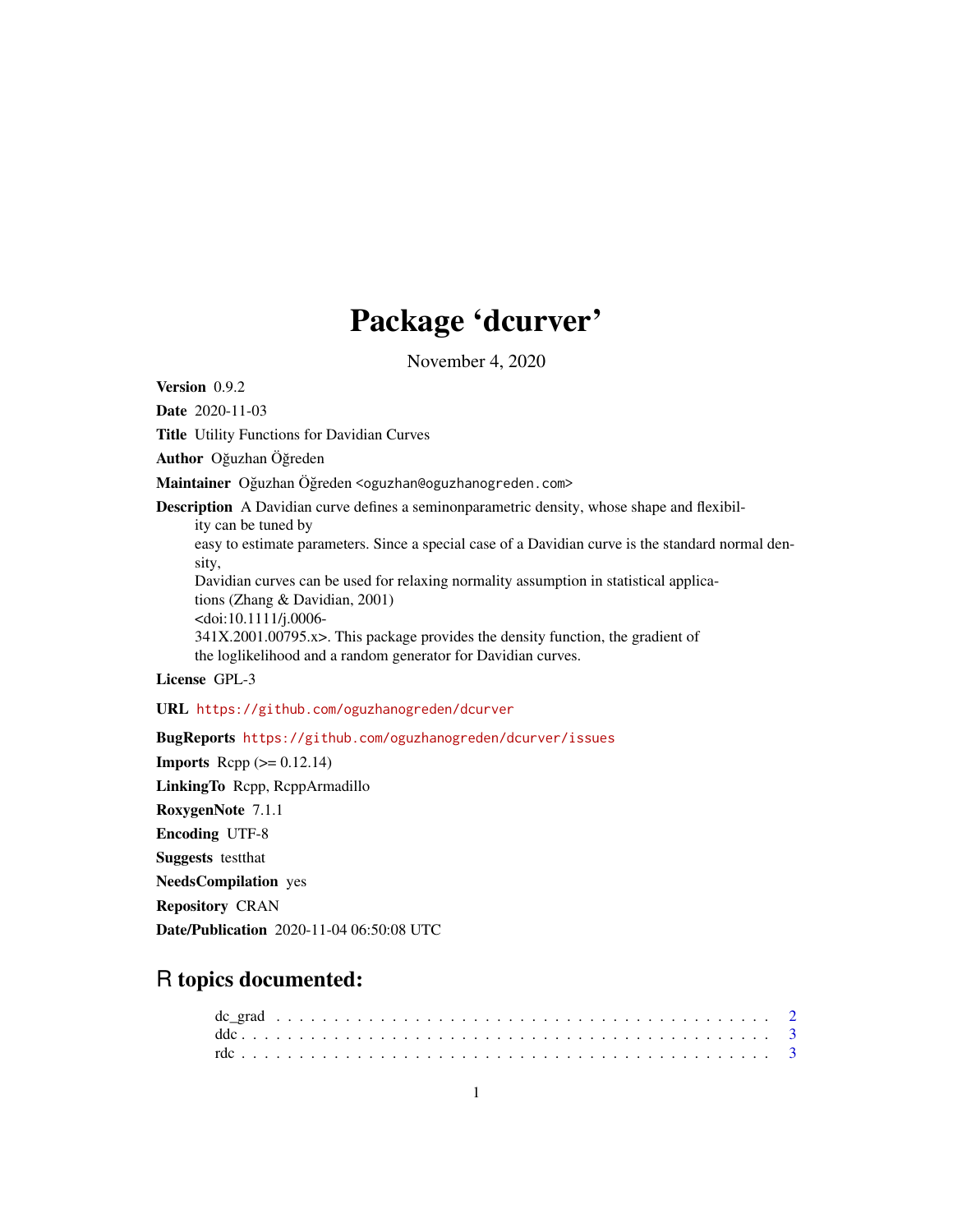# Package 'dcurver'

November 4, 2020

Version 0.9.2

Date 2020-11-03

Title Utility Functions for Davidian Curves

Author Oğuzhan Öğreden

Maintainer Oğuzhan Öğreden <oguzhan@oguzhanogreden.com>

Description A Davidian curve defines a seminonparametric density, whose shape and flexibil-

ity can be tuned by

easy to estimate parameters. Since a special case of a Davidian curve is the standard normal density,

Davidian curves can be used for relaxing normality assumption in statistical applications (Zhang & Davidian, 2001) <doi:10.1111/j.0006- 341X.2001.00795.x>. This package provides the density function, the gradient of

the loglikelihood and a random generator for Davidian curves.

# License GPL-3

URL <https://github.com/oguzhanogreden/dcurver>

BugReports <https://github.com/oguzhanogreden/dcurver/issues>

**Imports** Rcpp  $(>= 0.12.14)$ LinkingTo Rcpp, RcppArmadillo RoxygenNote 7.1.1 Encoding UTF-8 Suggests testthat NeedsCompilation yes Repository CRAN Date/Publication 2020-11-04 06:50:08 UTC

# R topics documented: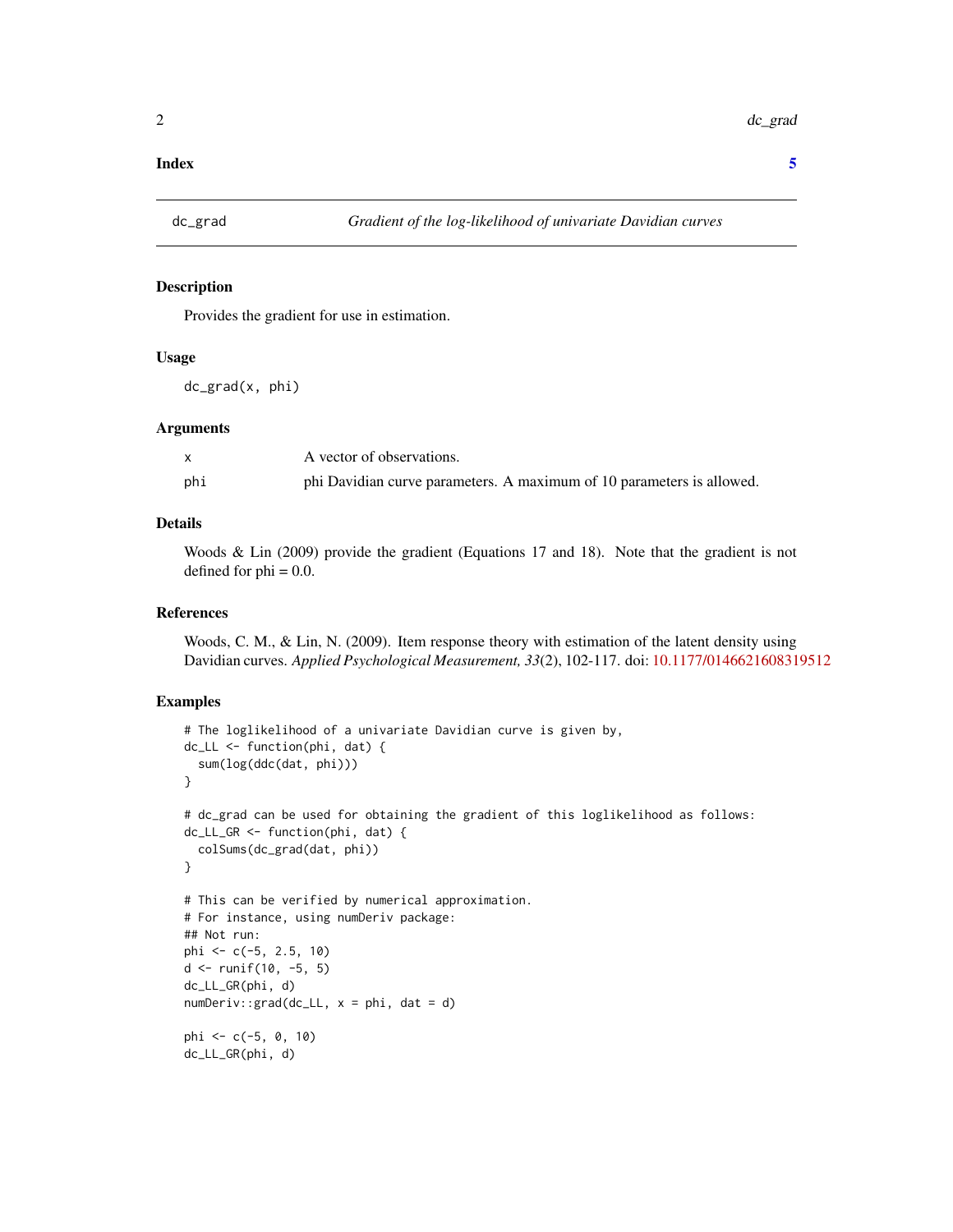#### <span id="page-1-0"></span>**Index** [5](#page-4-0). The second state of the second state of the second state of the second state of the second state of the second state of the second state of the second state of the second state of the second state of the second

# Description

Provides the gradient for use in estimation.

# Usage

dc\_grad(x, phi)

# Arguments

|     | A vector of observations.                                             |
|-----|-----------------------------------------------------------------------|
| phi | phi Davidian curve parameters. A maximum of 10 parameters is allowed. |

# Details

Woods & Lin (2009) provide the gradient (Equations 17 and 18). Note that the gradient is not defined for  $phi = 0.0$ .

### References

Woods, C. M., & Lin, N. (2009). Item response theory with estimation of the latent density using Davidian curves. *Applied Psychological Measurement, 33*(2), 102-117. doi: [10.1177/0146621608319512](https://doi.org/10.1177/0146621608319512)

# Examples

```
# The loglikelihood of a univariate Davidian curve is given by,
dc_LL <- function(phi, dat) {
 sum(log(ddc(dat, phi)))
}
# dc_grad can be used for obtaining the gradient of this loglikelihood as follows:
dc_LL_GR <- function(phi, dat) {
 colSums(dc_grad(dat, phi))
}
# This can be verified by numerical approximation.
# For instance, using numDeriv package:
## Not run:
phi <- c(-5, 2.5, 10)
d \le runif(10, -5, 5)
dc_LL_GR(phi, d)
numDeriv::grad(dc_LL, x = phi, dat = d)phi <- c(-5, 0, 10)
dc_LL_GR(phi, d)
```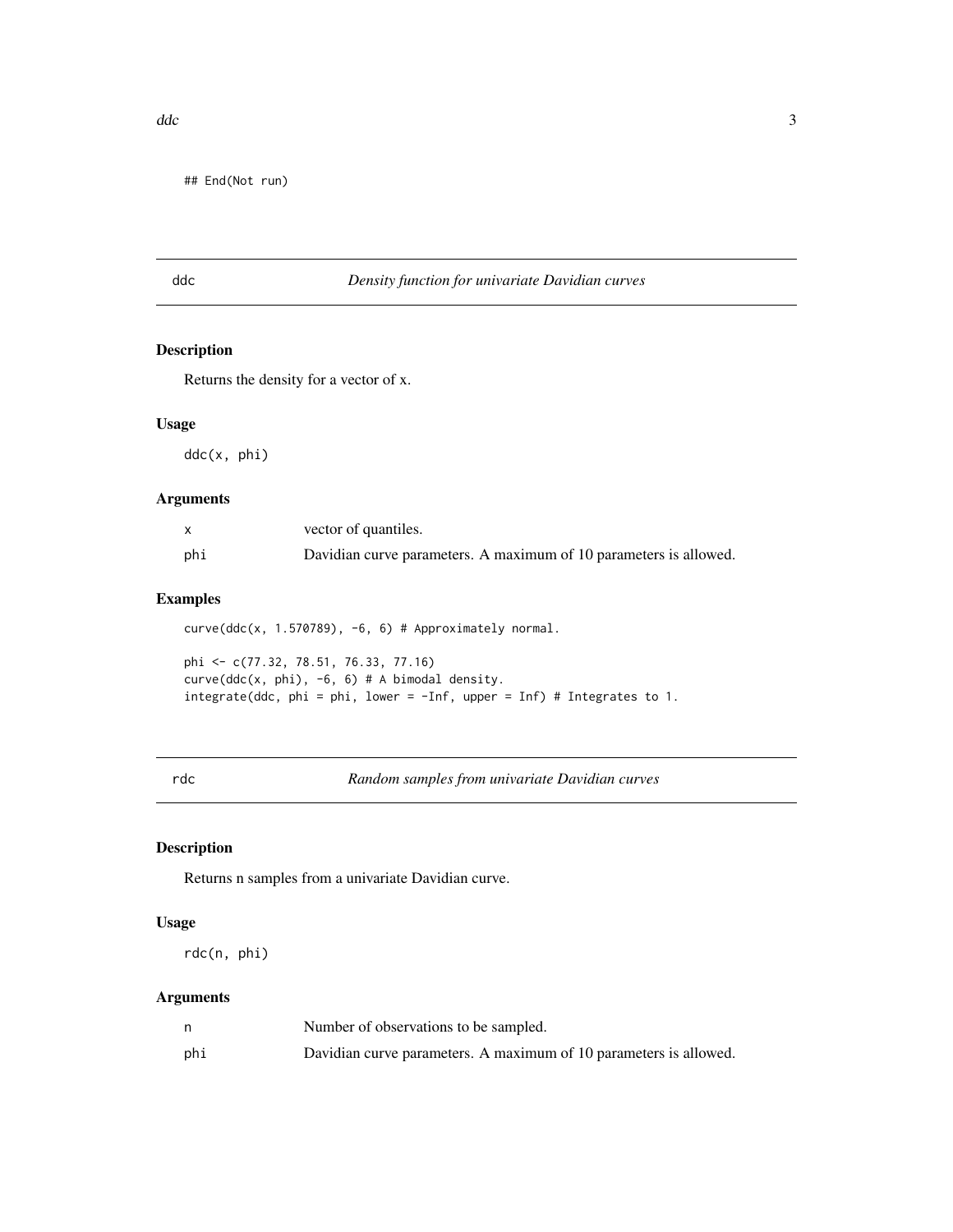<span id="page-2-0"></span>## End(Not run)

# ddc *Density function for univariate Davidian curves*

# Description

Returns the density for a vector of x.

# Usage

ddc(x, phi)

# Arguments

|     | vector of quantiles.                                              |
|-----|-------------------------------------------------------------------|
| phi | Davidian curve parameters. A maximum of 10 parameters is allowed. |

# Examples

curve(ddc(x, 1.570789), -6, 6) # Approximately normal.

phi <- c(77.32, 78.51, 76.33, 77.16) curve(ddc(x, phi), -6, 6) # A bimodal density. integrate(ddc, phi = phi, lower = -Inf, upper = Inf) # Integrates to 1.

rdc *Random samples from univariate Davidian curves*

# Description

Returns n samples from a univariate Davidian curve.

# Usage

rdc(n, phi)

# Arguments

|     | Number of observations to be sampled.                             |
|-----|-------------------------------------------------------------------|
| phi | Davidian curve parameters. A maximum of 10 parameters is allowed. |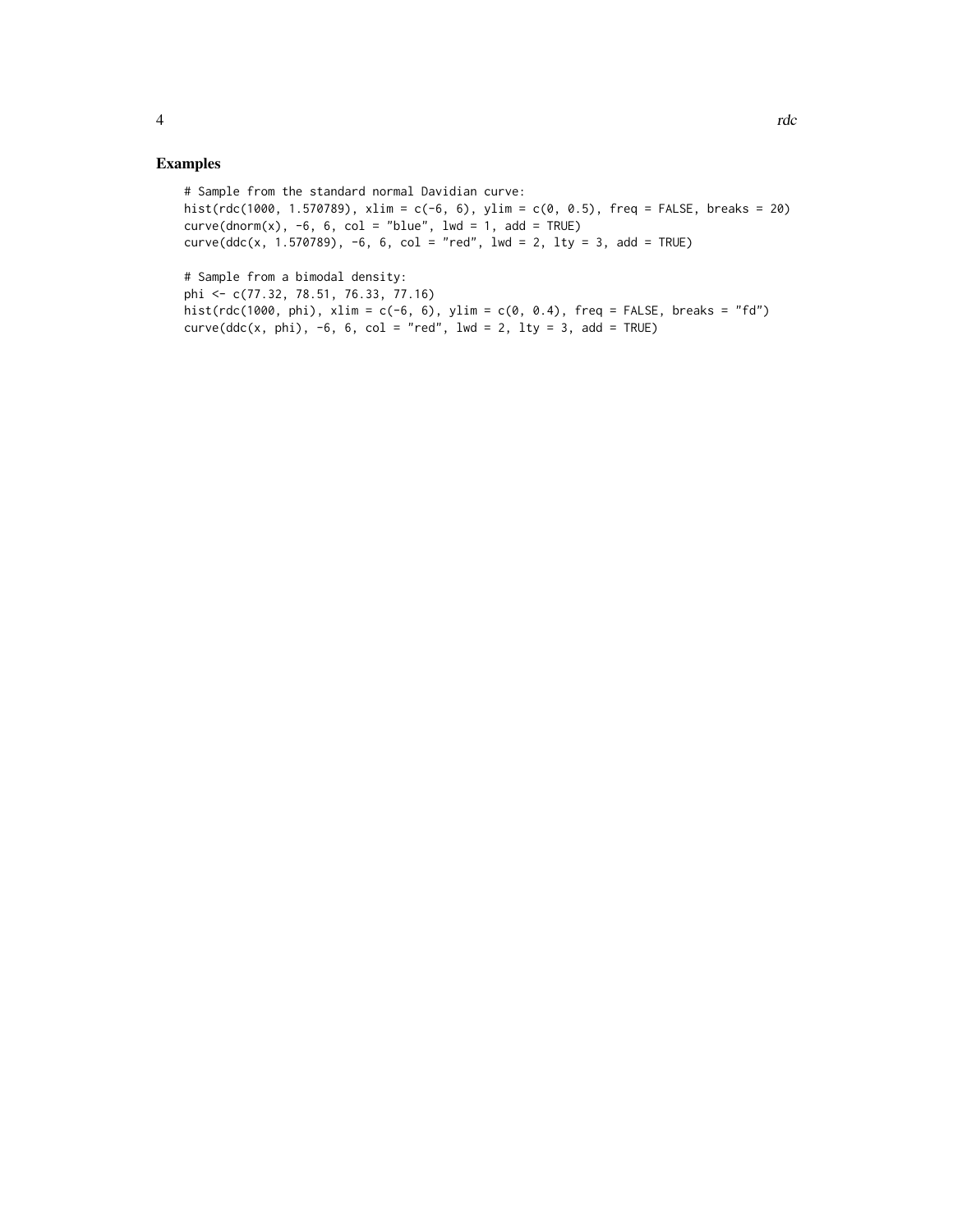# Sample from the standard normal Davidian curve: hist(rdc(1000, 1.570789), xlim = c(-6, 6), ylim = c(0, 0.5), freq = FALSE, breaks = 20)  $curve(dnorm(x), -6, 6, col = "blue", lwd = 1, add = TRUE)$  $curve(ddc(x, 1.570789), -6, 6, col = "red", 1wd = 2, 1ty = 3, add = TRUE)$ 

```
# Sample from a bimodal density:
phi <- c(77.32, 78.51, 76.33, 77.16)
hist(rdc(1000, phi), xlim = c(-6, 6), ylim = c(0, 0.4), freq = FALSE, breaks = "fd")
curve(ddc(x, phi), -6, 6, col = "red", lwd = 2, lty = 3, add = TRUE)
```